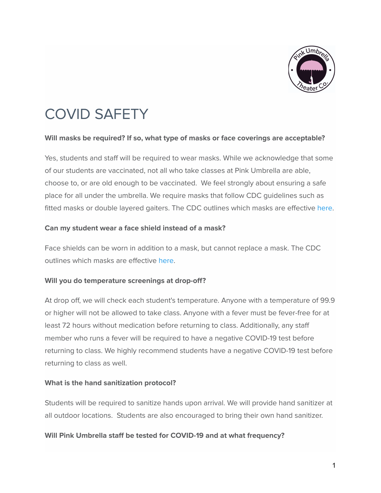

# COVID SAFETY

#### **Will masks be required? If so, what type of masks or face coverings are acceptable?**

Yes, students and staff will be required to wear masks. While we acknowledge that some of our students are vaccinated, not all who take classes at Pink Umbrella are able, choose to, or are old enough to be vaccinated. We feel strongly about ensuring a safe place for all under the umbrella. We require masks that follow CDC guidelines such as fitted masks or double layered gaiters. The CDC outlines which masks are effective [here](https://www.cdc.gov/coronavirus/2019-ncov/prevent-getting-sick/about-face-coverings.html).

#### **Can my student wear a face shield instead of a mask?**

Face shields can be worn in addition to a mask, but cannot replace a mask. The CDC outlines which masks are effective [here](https://www.cdc.gov/coronavirus/2019-ncov/prevent-getting-sick/about-face-coverings.html).

#### **Will you do temperature screenings at drop-off?**

At drop off, we will check each student's temperature. Anyone with a temperature of 99.9 or higher will not be allowed to take class. Anyone with a fever must be fever-free for at least 72 hours without medication before returning to class. Additionally, any staff member who runs a fever will be required to have a negative COVID-19 test before returning to class. We highly recommend students have a negative COVID-19 test before returning to class as well.

#### **What is the hand sanitization protocol?**

Students will be required to sanitize hands upon arrival. We will provide hand sanitizer at all outdoor locations. Students are also encouraged to bring their own hand sanitizer.

#### **Will Pink Umbrella staff be tested for COVID-19 and at what frequency?**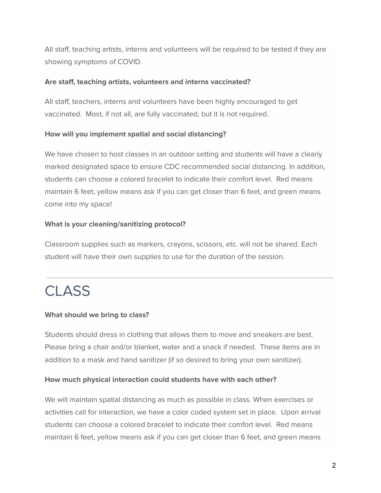All staff, teaching artists, interns and volunteers will be required to be tested if they are showing symptoms of COVID.

#### **Are staff, teaching artists, volunteers and interns vaccinated?**

All staff, teachers, interns and volunteers have been highly encouraged to get vaccinated. Most, if not all, are fully vaccinated, but it is not required.

#### **How will you implement spatial and social distancing?**

We have chosen to host classes in an outdoor setting and students will have a clearly marked designated space to ensure CDC recommended social distancing. In addition, students can choose a colored bracelet to indicate their comfort level. Red means maintain 6 feet, yellow means ask if you can get closer than 6 feet, and green means come into my space!

#### **What is your cleaning/sanitizing protocol?**

Classroom supplies such as markers, crayons, scissors, etc. will not be shared. Each student will have their own supplies to use for the duration of the session.

## **CLASS**

#### **What should we bring to class?**

Students should dress in clothing that allows them to move and sneakers are best. Please bring a chair and/or blanket, water and a snack if needed. These items are in addition to a mask and hand sanitizer (if so desired to bring your own sanitizer).

#### **How much physical interaction could students have with each other?**

We will maintain spatial distancing as much as possible in class. When exercises or activities call for interaction, we have a color coded system set in place. Upon arrival students can choose a colored bracelet to indicate their comfort level. Red means maintain 6 feet, yellow means ask if you can get closer than 6 feet, and green means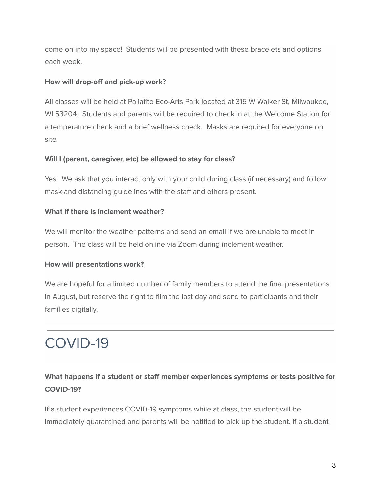come on into my space! Students will be presented with these bracelets and options each week.

#### **How will drop-off and pick-up work?**

All classes will be held at Paliafito Eco-Arts Park located at 315 W Walker St, Milwaukee, WI 53204. Students and parents will be required to check in at the Welcome Station for a temperature check and a brief wellness check. Masks are required for everyone on site.

#### **Will I (parent, caregiver, etc) be allowed to stay for class?**

Yes. We ask that you interact only with your child during class (if necessary) and follow mask and distancing guidelines with the staff and others present.

#### **What if there is inclement weather?**

We will monitor the weather patterns and send an email if we are unable to meet in person. The class will be held online via Zoom during inclement weather.

#### **How will presentations work?**

We are hopeful for a limited number of family members to attend the final presentations in August, but reserve the right to film the last day and send to participants and their families digitally.

# COVID-19

## **What happens if a student or staff member experiences symptoms or tests positive for COVID-19?**

If a student experiences COVID-19 symptoms while at class, the student will be immediately quarantined and parents will be notified to pick up the student. If a student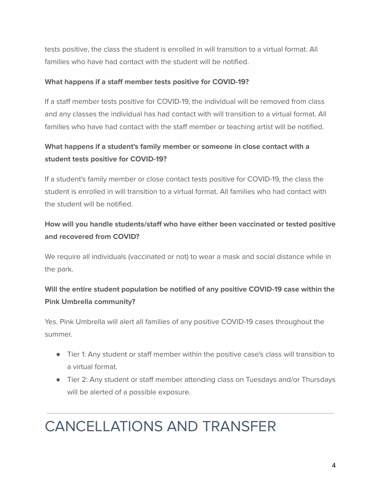tests positive, the class the student is enrolled in will transition to a virtual format. All families who have had contact with the student will be notified.

#### **What happens if a staff member tests positive for COVID-19?**

If a staff member tests positive for COVID-19, the individual will be removed from class and any classes the individual has had contact with will transition to a virtual format. All families who have had contact with the staff member or teaching artist will be notified.

## **What happens if a student's family member or someone in close contact with a student tests positive for COVID-19?**

If a student's family member or close contact tests positive for COVID-19, the class the student is enrolled in will transition to a virtual format. All families who had contact with the student will be notified.

## **How will you handle students/staff who have either been vaccinated or tested positive and recovered from COVID?**

We require all individuals (vaccinated or not) to wear a mask and social distance while in the park.

## **Will the entire student population be notified of any positive COVID-19 case within the Pink Umbrella community?**

Yes. Pink Umbrella will alert all families of any positive COVID-19 cases throughout the summer.

- Tier 1: Any student or staff member within the positive case's class will transition to a virtual format.
- Tier 2: Any student or staff member attending class on Tuesdays and/or Thursdays will be alerted of a possible exposure.

# CANCELLATIONS AND TRANSFER